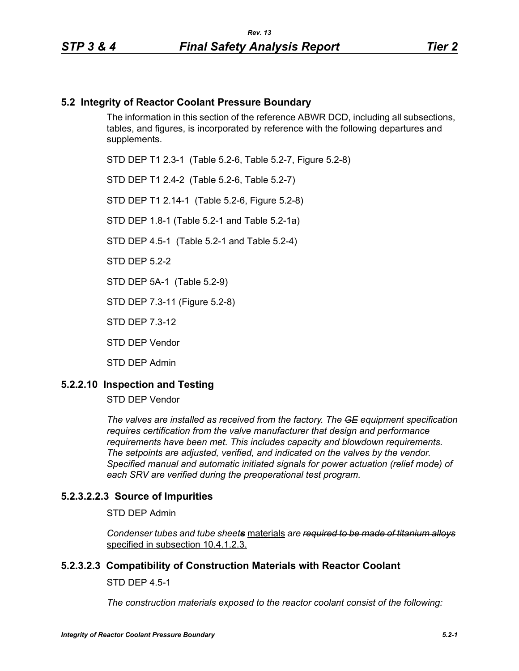# **5.2 Integrity of Reactor Coolant Pressure Boundary**

The information in this section of the reference ABWR DCD, including all subsections, tables, and figures, is incorporated by reference with the following departures and supplements.

STD DEP T1 2.3-1 (Table 5.2-6, Table 5.2-7, Figure 5.2-8)

STD DEP T1 2.4-2 (Table 5.2-6, Table 5.2-7)

STD DEP T1 2.14-1 (Table 5.2-6, Figure 5.2-8)

STD DEP 1.8-1 (Table 5.2-1 and Table 5.2-1a)

STD DEP 4.5-1 (Table 5.2-1 and Table 5.2-4)

STD DEP 5.2-2

STD DEP 5A-1 (Table 5.2-9)

STD DEP 7.3-11 (Figure 5.2-8)

STD DEP 7.3-12

STD DEP Vendor

STD DEP Admin

#### **5.2.2.10 Inspection and Testing**

STD DEP Vendor

*The valves are installed as received from the factory. The GE equipment specification requires certification from the valve manufacturer that design and performance requirements have been met. This includes capacity and blowdown requirements. The setpoints are adjusted, verified, and indicated on the valves by the vendor. Specified manual and automatic initiated signals for power actuation (relief mode) of each SRV are verified during the preoperational test program.*

#### **5.2.3.2.2.3 Source of Impurities**

STD DEP Admin

*Condenser tubes and tube sheets* materials *are required to be made of titanium alloys* specified in subsection 10.4.1.2.3.

#### **5.2.3.2.3 Compatibility of Construction Materials with Reactor Coolant**

STD DEP 4.5-1

*The construction materials exposed to the reactor coolant consist of the following:*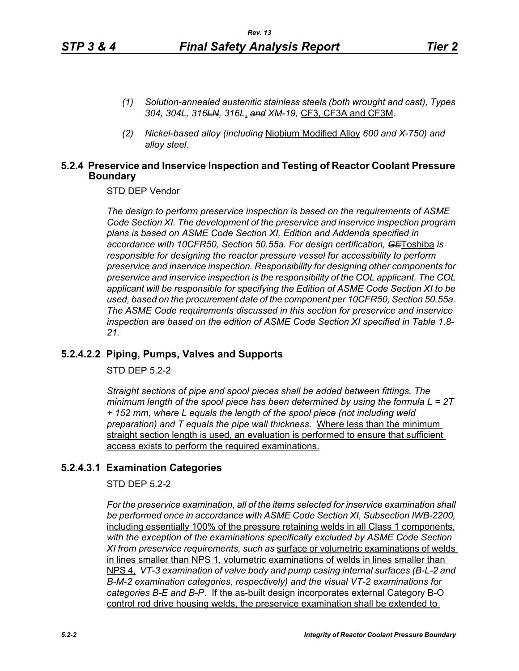- *(1) Solution-annealed austenitic stainless steels (both wrought and cast), Types 304, 304L, 316LN, 316L*, *and XM-19,* CF3, CF3A and CF3M*.*
- *(2) Nickel-based alloy (including* Niobium Modified Alloy *600 and X-750) and alloy steel.*

#### **5.2.4 Preservice and Inservice Inspection and Testing of Reactor Coolant Pressure Boundary**

STD DEP Vendor

*The design to perform preservice inspection is based on the requirements of ASME Code Section XI. The development of the preservice and inservice inspection program plans is based on ASME Code Section XI, Edition and Addenda specified in accordance with 10CFR50, Section 50.55a. For design certification, GE*Toshiba *is responsible for designing the reactor pressure vessel for accessibility to perform preservice and inservice inspection. Responsibility for designing other components for preservice and inservice inspection is the responsibility of the COL applicant. The COL applicant will be responsible for specifying the Edition of ASME Code Section XI to be used, based on the procurement date of the component per 10CFR50, Section 50.55a. The ASME Code requirements discussed in this section for preservice and inservice inspection are based on the edition of ASME Code Section XI specified in Table 1.8- 21.*

# **5.2.4.2.2 Piping, Pumps, Valves and Supports**

STD DEP 5.2-2

*Straight sections of pipe and spool pieces shall be added between fittings. The minimum length of the spool piece has been determined by using the formula L = 2T + 152 mm, where L equals the length of the spool piece (not including weld preparation) and T equals the pipe wall thickness.* Where less than the minimum straight section length is used, an evaluation is performed to ensure that sufficient access exists to perform the required examinations.

#### **5.2.4.3.1 Examination Categories**

STD DEP 5.2-2

*For the preservice examination, all of the items selected for inservice examination shall*  be performed once in accordance with ASME Code Section XI, Subsection IWB-2200, including essentially 100% of the pressure retaining welds in all Class 1 components, *with the exception of the examinations specifically excluded by ASME Code Section XI from preservice requirements, such as* surface or volumetric examinations of welds in lines smaller than NPS 1, volumetric examinations of welds in lines smaller than NPS 4, *VT-3 examination of valve body and pump casing internal surfaces (B-L-2 and B-M-2 examination categories, respectively) and the visual VT-2 examinations for categories B-E and B-P*. If the as-built design incorporates external Category B-O control rod drive housing welds, the preservice examination shall be extended to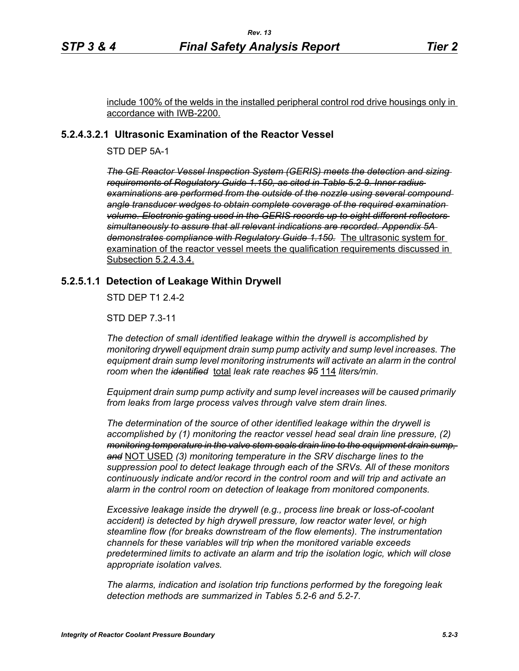include 100% of the welds in the installed peripheral control rod drive housings only in accordance with IWB-2200.

### **5.2.4.3.2.1 Ultrasonic Examination of the Reactor Vessel**

STD DEP 5A-1

*The GE Reactor Vessel Inspection System (GERIS) meets the detection and sizing requirements of Regulatory Guide 1.150, as cited in Table 5.2-9. Inner radius examinations are performed from the outside of the nozzle using several compound angle transducer wedges to obtain complete coverage of the required examination volume. Electronic gating used in the GERIS records up to eight different reflectors simultaneously to assure that all relevant indications are recorded. Appendix 5A demonstrates compliance with Regulatory Guide 1.150.* The ultrasonic system for examination of the reactor vessel meets the qualification requirements discussed in Subsection 5.2.4.3.4.

#### **5.2.5.1.1 Detection of Leakage Within Drywell**

STD DEP T1 2.4-2

STD DEP 7.3-11

*The detection of small identified leakage within the drywell is accomplished by monitoring drywell equipment drain sump pump activity and sump level increases. The*  equipment drain sump level monitoring instruments will activate an alarm in the control *room when the identified* total *leak rate reaches 95* 114 *liters/min.*

*Equipment drain sump pump activity and sump level increases will be caused primarily from leaks from large process valves through valve stem drain lines.*

*The determination of the source of other identified leakage within the drywell is accomplished by (1) monitoring the reactor vessel head seal drain line pressure, (2) monitoring temperature in the valve stem seals drain line to the equipment drain sump, and* NOT USED *(3) monitoring temperature in the SRV discharge lines to the suppression pool to detect leakage through each of the SRVs. All of these monitors continuously indicate and/or record in the control room and will trip and activate an alarm in the control room on detection of leakage from monitored components.* 

*Excessive leakage inside the drywell (e.g., process line break or loss-of-coolant accident) is detected by high drywell pressure, low reactor water level, or high steamline flow (for breaks downstream of the flow elements). The instrumentation channels for these variables will trip when the monitored variable exceeds predetermined limits to activate an alarm and trip the isolation logic, which will close appropriate isolation valves.*

*The alarms, indication and isolation trip functions performed by the foregoing leak detection methods are summarized in Tables 5.2-6 and 5.2-7.*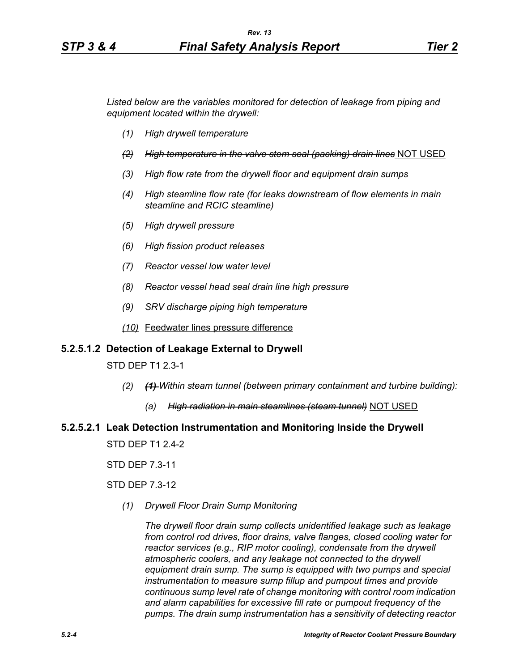*Listed below are the variables monitored for detection of leakage from piping and equipment located within the drywell:*

- *(1) High drywell temperature*
- *(2) High temperature in the valve stem seal (packing) drain lines* NOT USED
- *(3) High flow rate from the drywell floor and equipment drain sumps*
- *(4) High steamline flow rate (for leaks downstream of flow elements in main steamline and RCIC steamline)*
- *(5) High drywell pressure*
- *(6) High fission product releases*
- *(7) Reactor vessel low water level*
- *(8) Reactor vessel head seal drain line high pressure*
- *(9) SRV discharge piping high temperature*
- *(10)* Feedwater lines pressure difference

### **5.2.5.1.2 Detection of Leakage External to Drywell**

STD DEP T1 2.3-1

- *(2) (1) Within steam tunnel (between primary containment and turbine building):*
	- *(a) High radiation in main steamlines (steam tunnel)* NOT USED

# **5.2.5.2.1 Leak Detection Instrumentation and Monitoring Inside the Drywell**

STD DEP T1 2.4-2

STD DEP 7.3-11

STD DEP 7.3-12

*(1) Drywell Floor Drain Sump Monitoring*

*The drywell floor drain sump collects unidentified leakage such as leakage from control rod drives, floor drains, valve flanges, closed cooling water for reactor services (e.g., RIP motor cooling), condensate from the drywell atmospheric coolers, and any leakage not connected to the drywell equipment drain sump. The sump is equipped with two pumps and special instrumentation to measure sump fillup and pumpout times and provide continuous sump level rate of change monitoring with control room indication and alarm capabilities for excessive fill rate or pumpout frequency of the pumps. The drain sump instrumentation has a sensitivity of detecting reactor*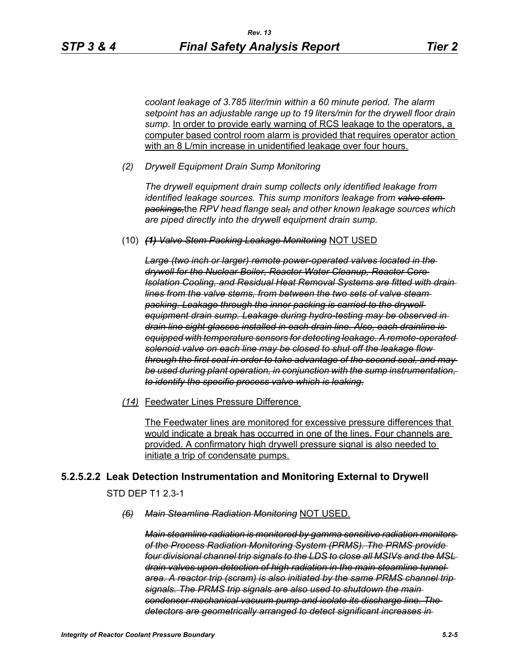*coolant leakage of 3.785 liter/min within a 60 minute period. The alarm setpoint has an adjustable range up to 19 liters/min for the drywell floor drain*  sump. In order to provide early warning of RCS leakage to the operators, a computer based control room alarm is provided that requires operator action with an 8 L/min increase in unidentified leakage over four hours.

*(2) Drywell Equipment Drain Sump Monitoring*

*The drywell equipment drain sump collects only identified leakage from identified leakage sources. This sump monitors leakage from valve stem packings,*the *RPV head flange seal, and other known leakage sources which are piped directly into the drywell equipment drain sump.*

(10) *(1) Valve Stem Packing Leakage Monitoring* NOT USED

*Large (two inch or larger) remote power-operated valves located in the drywell for the Nuclear Boiler, Reactor Water Cleanup, Reactor Core Isolation Cooling, and Residual Heat Removal Systems are fitted with drain lines from the valve stems, from between the two sets of valve steam packing. Leakage through the inner packing is carried to the drywell equipment drain sump. Leakage during hydro-testing may be observed in drain line sight glasses installed in each drain line. Also, each drainline is equipped with temperature sensors for detecting leakage. A remote-operated solenoid valve on each line may be closed to shut off the leakage flow through the first seal in order to take advantage of the second seal, and may be used during plant operation, in conjunction with the sump instrumentation, to identify the specific process valve which is leaking.*

*(14)* Feedwater Lines Pressure Difference

The Feedwater lines are monitored for excessive pressure differences that would indicate a break has occurred in one of the lines. Four channels are provided. A confirmatory high drywell pressure signal is also needed to initiate a trip of condensate pumps.

#### **5.2.5.2.2 Leak Detection Instrumentation and Monitoring External to Drywell**

STD DEP T1 2.3-1

#### *(6) Main Steamline Radiation Monitoring* NOT USED.

*Main steamline radiation is monitored by gamma sensitive radiation monitors of the Process Radiation Monitoring System (PRMS). The PRMS provide four divisional channel trip signals to the LDS to close all MSIVs and the MSL drain valves upon detection of high radiation in the main steamline tunnel area. A reactor trip (scram) is also initiated by the same PRMS channel trip signals. The PRMS trip signals are also used to shutdown the main condenser mechanical vacuum pump and isolate its discharge line. The detectors are geometrically arranged to detect significant increases in*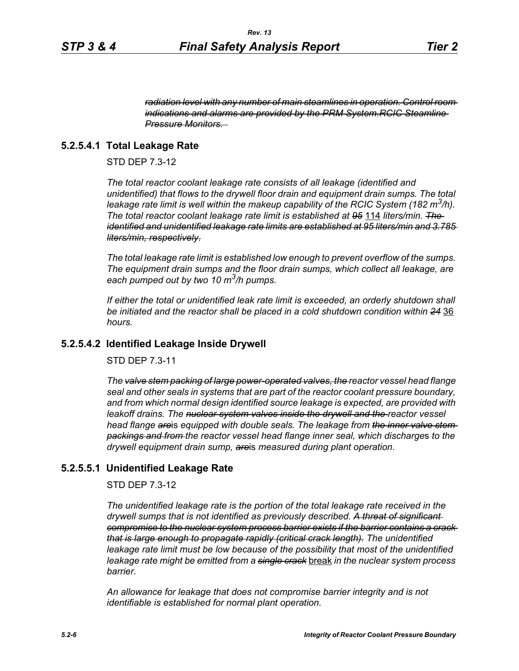*radiation level with any number of main steamlines in operation. Control room indications and alarms are provided by the PRM System.RCIC Steamline Pressure Monitors.* 

# **5.2.5.4.1 Total Leakage Rate**

STD DEP 7.3-12

*The total reactor coolant leakage rate consists of all leakage (identified and unidentified) that flows to the drywell floor drain and equipment drain sumps. The total leakage rate limit is well within the makeup capability of the RCIC System (182 m3/h). The total reactor coolant leakage rate limit is established at 95* 114 *liters/min. The identified and unidentified leakage rate limits are established at 95 liters/min and 3.785 liters/min, respectively.*

*The total leakage rate limit is established low enough to prevent overflow of the sumps. The equipment drain sumps and the floor drain sumps, which collect all leakage, are each pumped out by two 10 m3/h pumps.*

*If either the total or unidentified leak rate limit is exceeded, an orderly shutdown shall be initiated and the reactor shall be placed in a cold shutdown condition within 24* 36 *hours.*

#### **5.2.5.4.2 Identified Leakage Inside Drywell**

STD DEP 7.3-11

*The valve stem packing of large power-operated valves, the reactor vessel head flange seal and other seals in systems that are part of the reactor coolant pressure boundary, and from which normal design identified source leakage is expected, are provided with leakoff drains. The nuclear system valves inside the drywell and the reactor vessel head flange are*is *equipped with double seals. The leakage from the inner valve stem packings and from the reactor vessel head flange inner seal, which discharge*s *to the drywell equipment drain sump, are*is *measured during plant operation.*

#### **5.2.5.5.1 Unidentified Leakage Rate**

STD DEP 7.3-12

*The unidentified leakage rate is the portion of the total leakage rate received in the drywell sumps that is not identified as previously described. A threat of significant compromise to the nuclear system process barrier exists if the barrier contains a crack that is large enough to propagate rapidly (critical crack length). The unidentified leakage rate limit must be low because of the possibility that most of the unidentified leakage rate might be emitted from a single crack* break *in the nuclear system process barrier.*

*An allowance for leakage that does not compromise barrier integrity and is not identifiable is established for normal plant operation.*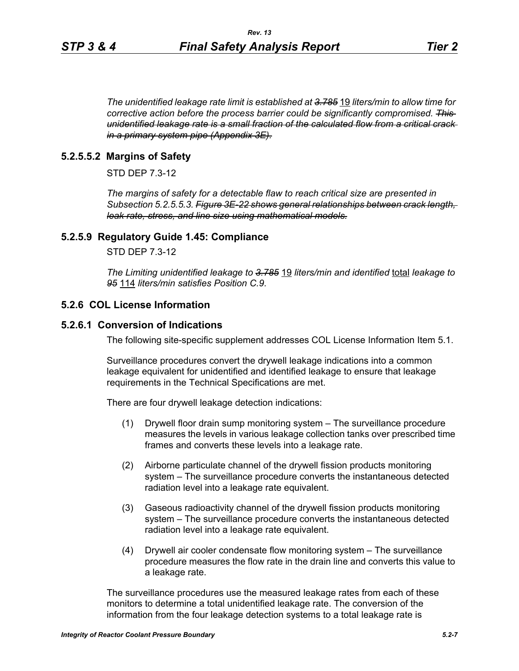*The unidentified leakage rate limit is established at 3.785* 19 *liters/min to allow time for corrective action before the process barrier could be significantly compromised. This unidentified leakage rate is a small fraction of the calculated flow from a critical crack in a primary system pipe (Appendix 3E).*

### **5.2.5.5.2 Margins of Safety**

STD DEP 7.3-12

*The margins of safety for a detectable flaw to reach critical size are presented in Subsection 5.2.5.5.3. Figure 3E-22 shows general relationships between crack length, leak rate, stress, and line size using mathematical models.*

#### **5.2.5.9 Regulatory Guide 1.45: Compliance**

STD DEP 7.3-12

*The Limiting unidentified leakage to 3.785* 19 *liters/min and identified* total *leakage to 95* 114 *liters/min satisfies Position C.9.*

#### **5.2.6 COL License Information**

#### **5.2.6.1 Conversion of Indications**

The following site-specific supplement addresses COL License Information Item 5.1.

Surveillance procedures convert the drywell leakage indications into a common leakage equivalent for unidentified and identified leakage to ensure that leakage requirements in the Technical Specifications are met.

There are four drywell leakage detection indications:

- (1) Drywell floor drain sump monitoring system The surveillance procedure measures the levels in various leakage collection tanks over prescribed time frames and converts these levels into a leakage rate.
- (2) Airborne particulate channel of the drywell fission products monitoring system – The surveillance procedure converts the instantaneous detected radiation level into a leakage rate equivalent.
- (3) Gaseous radioactivity channel of the drywell fission products monitoring system – The surveillance procedure converts the instantaneous detected radiation level into a leakage rate equivalent.
- (4) Drywell air cooler condensate flow monitoring system The surveillance procedure measures the flow rate in the drain line and converts this value to a leakage rate.

The surveillance procedures use the measured leakage rates from each of these monitors to determine a total unidentified leakage rate. The conversion of the information from the four leakage detection systems to a total leakage rate is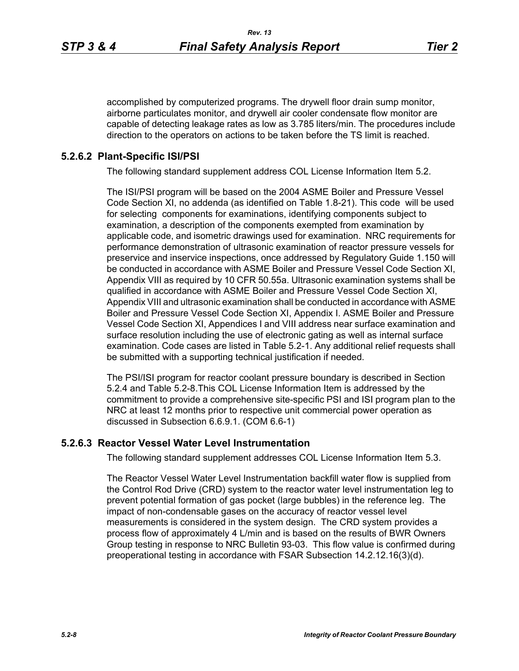accomplished by computerized programs. The drywell floor drain sump monitor, airborne particulates monitor, and drywell air cooler condensate flow monitor are capable of detecting leakage rates as low as 3.785 liters/min. The procedures include direction to the operators on actions to be taken before the TS limit is reached.

## **5.2.6.2 Plant-Specific ISI/PSI**

The following standard supplement address COL License Information Item 5.2.

The ISI/PSI program will be based on the 2004 ASME Boiler and Pressure Vessel Code Section XI, no addenda (as identified on Table 1.8-21). This code will be used for selecting components for examinations, identifying components subject to examination, a description of the components exempted from examination by applicable code, and isometric drawings used for examination. NRC requirements for performance demonstration of ultrasonic examination of reactor pressure vessels for preservice and inservice inspections, once addressed by Regulatory Guide 1.150 will be conducted in accordance with ASME Boiler and Pressure Vessel Code Section XI, Appendix VIII as required by 10 CFR 50.55a. Ultrasonic examination systems shall be qualified in accordance with ASME Boiler and Pressure Vessel Code Section XI, Appendix VIII and ultrasonic examination shall be conducted in accordance with ASME Boiler and Pressure Vessel Code Section XI, Appendix I. ASME Boiler and Pressure Vessel Code Section XI, Appendices I and VIII address near surface examination and surface resolution including the use of electronic gating as well as internal surface examination. Code cases are listed in Table 5.2-1. Any additional relief requests shall be submitted with a supporting technical justification if needed.

The PSI/ISI program for reactor coolant pressure boundary is described in Section 5.2.4 and Table 5.2-8.This COL License Information Item is addressed by the commitment to provide a comprehensive site-specific PSI and ISI program plan to the NRC at least 12 months prior to respective unit commercial power operation as discussed in Subsection 6.6.9.1. (COM 6.6-1)

### **5.2.6.3 Reactor Vessel Water Level Instrumentation**

The following standard supplement addresses COL License Information Item 5.3.

The Reactor Vessel Water Level Instrumentation backfill water flow is supplied from the Control Rod Drive (CRD) system to the reactor water level instrumentation leg to prevent potential formation of gas pocket (large bubbles) in the reference leg. The impact of non-condensable gases on the accuracy of reactor vessel level measurements is considered in the system design. The CRD system provides a process flow of approximately 4 L/min and is based on the results of BWR Owners Group testing in response to NRC Bulletin 93-03. This flow value is confirmed during preoperational testing in accordance with FSAR Subsection 14.2.12.16(3)(d).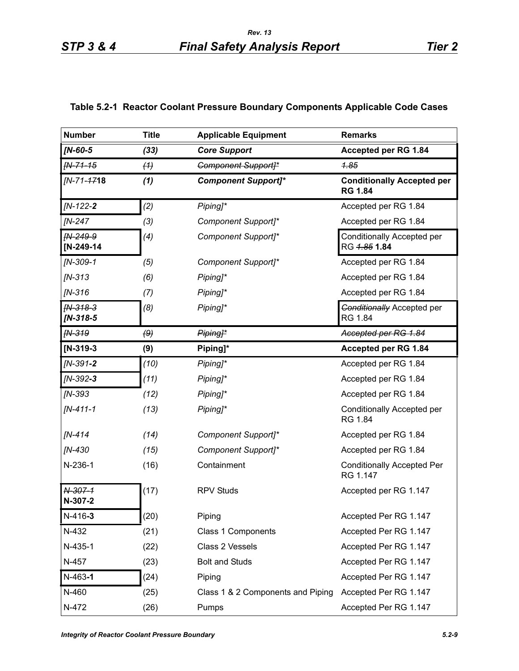| v.<br>۰, |  |
|----------|--|

| <b>Number</b>            | <b>Title</b> | <b>Applicable Equipment</b>       | <b>Remarks</b>                                      |
|--------------------------|--------------|-----------------------------------|-----------------------------------------------------|
| $IN-60-5$                | (33)         | <b>Core Support</b>               | Accepted per RG 1.84                                |
| $fN-71-15$               | (4)          | <b>Component Support]*</b>        | <del>1.85</del>                                     |
| [N-71- <del>17</del> 18  | (1)          | <b>Component Support]*</b>        | <b>Conditionally Accepted per</b><br><b>RG 1.84</b> |
| $IN-122-2$               | (2)          | Piping]*                          | Accepted per RG 1.84                                |
| <b>IN-247</b>            | (3)          | Component Support]*               | Accepted per RG 1.84                                |
| $IN-249-9$<br>[N-249-14  | (4)          | Component Support]*               | Conditionally Accepted per<br>RG 4.85 1.84          |
| $[N-309-1]$              | (5)          | Component Support]*               | Accepted per RG 1.84                                |
| $IN-313$                 | (6)          | Piping]*                          | Accepted per RG 1.84                                |
| $IN-316$                 | (7)          | Piping]*                          | Accepted per RG 1.84                                |
| $fN-318-3$<br>$IN-318-5$ | (8)          | Piping]*                          | <b>Conditionally Accepted per</b><br>RG 1.84        |
| <b>FN-319</b>            | (9)          | Piping <sub>1</sub> *             | Accepted per RG 1.84                                |
| $IN-319-3$               | (9)          | Piping]*                          | Accepted per RG 1.84                                |
| $IN-391-2$               | (10)         | Piping]*                          | Accepted per RG 1.84                                |
| $IN-392-3$               | (11)         | Piping]*                          | Accepted per RG 1.84                                |
| $IN-393$                 | (12)         | Piping]*                          | Accepted per RG 1.84                                |
| $IN-411-1$               | (13)         | Piping]*                          | <b>Conditionally Accepted per</b><br>RG 1.84        |
| $IN-414$                 | (14)         | Component Support]*               | Accepted per RG 1.84                                |
| [N-430                   | (15)         | Component Support]*               | Accepted per RG 1.84                                |
| $N-236-1$                | (16)         | Containment                       | <b>Conditionally Accepted Per</b><br>RG 1.147       |
| N-307-1<br>N-307-2       | (17)         | <b>RPV Studs</b>                  | Accepted per RG 1.147                               |
| $N-416-3$                | (20)         | Piping                            | Accepted Per RG 1.147                               |
| N-432                    | (21)         | Class 1 Components                | Accepted Per RG 1.147                               |
| N-435-1                  | (22)         | Class 2 Vessels                   | Accepted Per RG 1.147                               |
| N-457                    | (23)         | <b>Bolt and Studs</b>             | Accepted Per RG 1.147                               |
| $N-463-1$                | (24)         | Piping                            | Accepted Per RG 1.147                               |
| N-460                    | (25)         | Class 1 & 2 Components and Piping | Accepted Per RG 1.147                               |
| N-472                    | (26)         | Pumps                             | Accepted Per RG 1.147                               |

# **Table 5.2-1 Reactor Coolant Pressure Boundary Components Applicable Code Cases**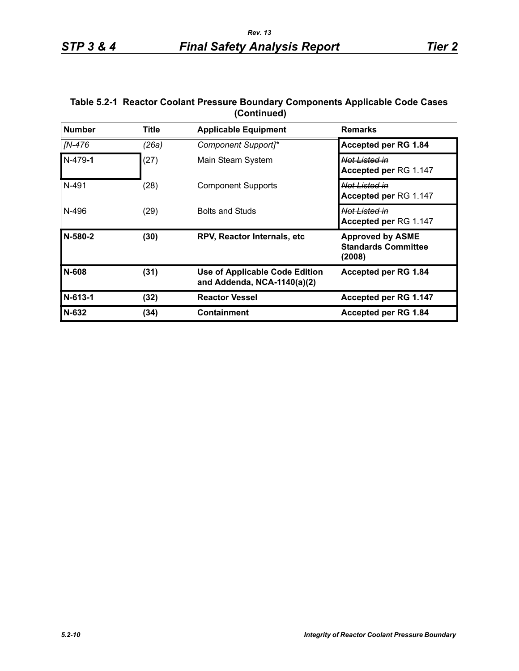# **Table 5.2-1 Reactor Coolant Pressure Boundary Components Applicable Code Cases (Continued)**

| <b>Number</b> | <b>Title</b> | <b>Applicable Equipment</b>                                          | <b>Remarks</b>                                                  |
|---------------|--------------|----------------------------------------------------------------------|-----------------------------------------------------------------|
| IN-476        | (26a)        | Component Support]*                                                  | Accepted per RG 1.84                                            |
| $N-479-1$     | (27)         | Main Steam System                                                    | Not Listed in<br>Accepted per RG 1.147                          |
| N-491         | (28)         | <b>Component Supports</b>                                            | Not Listed in<br>Accepted per RG 1.147                          |
| N-496         | (29)         | <b>Bolts and Studs</b>                                               | Not Listed in<br>Accepted per RG 1.147                          |
| N-580-2       | (30)         | RPV, Reactor Internals, etc                                          | <b>Approved by ASME</b><br><b>Standards Committee</b><br>(2008) |
| N-608         | (31)         | <b>Use of Applicable Code Edition</b><br>and Addenda, NCA-1140(a)(2) | Accepted per RG 1.84                                            |
| $N-613-1$     | (32)         | <b>Reactor Vessel</b>                                                | Accepted per RG 1.147                                           |
| N-632         | (34)         | <b>Containment</b>                                                   | Accepted per RG 1.84                                            |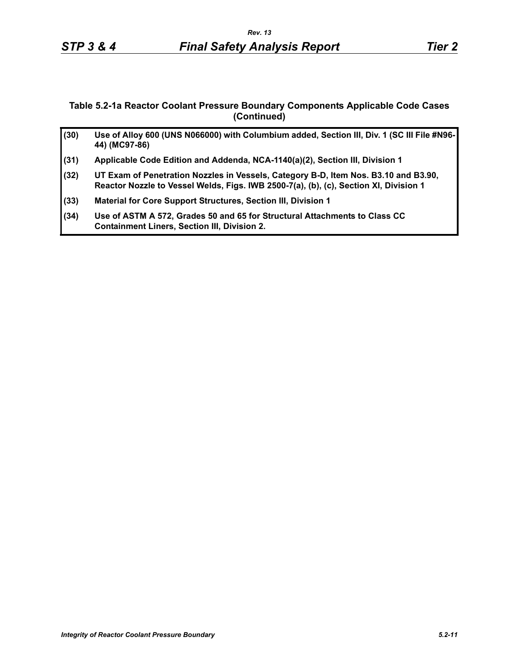#### **Table 5.2-1a Reactor Coolant Pressure Boundary Components Applicable Code Cases (Continued)**

| (30) | Use of Alloy 600 (UNS N066000) with Columbium added, Section III, Div. 1 (SC III File #N96-<br>44) (MC97-86)                                                                 |
|------|------------------------------------------------------------------------------------------------------------------------------------------------------------------------------|
| (31) | Applicable Code Edition and Addenda, NCA-1140(a)(2), Section III, Division 1                                                                                                 |
| (32) | UT Exam of Penetration Nozzles in Vessels, Category B-D, Item Nos. B3.10 and B3.90,<br>Reactor Nozzle to Vessel Welds, Figs. IWB 2500-7(a), (b), (c), Section XI, Division 1 |
| (33) | Material for Core Support Structures, Section III, Division 1                                                                                                                |
| (34) | Use of ASTM A 572, Grades 50 and 65 for Structural Attachments to Class CC<br><b>Containment Liners, Section III, Division 2.</b>                                            |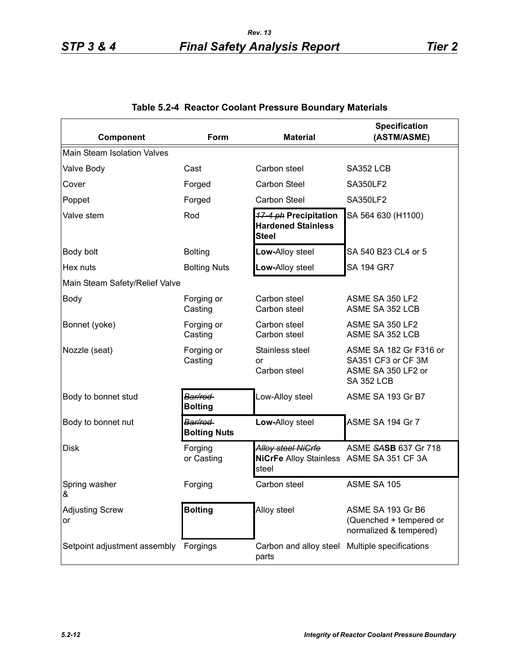| Component                          | Form                           | <b>Material</b>                                                         | <b>Specification</b><br>(ASTM/ASME)                                                     |
|------------------------------------|--------------------------------|-------------------------------------------------------------------------|-----------------------------------------------------------------------------------------|
| <b>Main Steam Isolation Valves</b> |                                |                                                                         |                                                                                         |
| Valve Body                         | Cast                           | Carbon steel                                                            | SA352 LCB                                                                               |
| Cover                              | Forged                         | Carbon Steel                                                            | <b>SA350LF2</b>                                                                         |
| Poppet                             | Forged                         | Carbon Steel                                                            | <b>SA350LF2</b>                                                                         |
| Valve stem                         | Rod                            | 17-4 ph Precipitation<br><b>Hardened Stainless</b><br><b>Steel</b>      | SA 564 630 (H1100)                                                                      |
| Body bolt                          | <b>Bolting</b>                 | Low-Alloy steel                                                         | SA 540 B23 CL4 or 5                                                                     |
| Hex nuts                           | <b>Bolting Nuts</b>            | Low-Alloy steel                                                         | <b>SA 194 GR7</b>                                                                       |
| Main Steam Safety/Relief Valve     |                                |                                                                         |                                                                                         |
| <b>Body</b>                        | Forging or<br>Casting          | Carbon steel<br>Carbon steel                                            | ASME SA 350 LF2<br>ASME SA 352 LCB                                                      |
| Bonnet (yoke)                      | Forging or<br>Casting          | Carbon steel<br>Carbon steel                                            | ASME SA 350 LF2<br>ASME SA 352 LCB                                                      |
| Nozzle (seat)                      | Forging or<br>Casting          | Stainless steel<br>or<br>Carbon steel                                   | ASME SA 182 Gr F316 or<br>SA351 CF3 or CF 3M<br>ASME SA 350 LF2 or<br><b>SA 352 LCB</b> |
| Body to bonnet stud                | Bar/rod<br><b>Bolting</b>      | Low-Alloy steel                                                         | ASME SA 193 Gr B7                                                                       |
| Body to bonnet nut                 | Bar/rod<br><b>Bolting Nuts</b> | Low-Alloy steel                                                         | ASME SA 194 Gr 7                                                                        |
| <b>Disk</b>                        | Forging<br>or Casting          | Alloy steel NiGrfe<br>NiCrFe Alloy Stainless ASME SA 351 CF 3A<br>steel | ASME SASB 637 Gr 718                                                                    |
| Spring washer<br>&                 | Forging                        | Carbon steel                                                            | ASME SA 105                                                                             |
| <b>Adjusting Screw</b><br>or       | <b>Bolting</b>                 | Alloy steel                                                             | ASME SA 193 Gr B6<br>(Quenched + tempered or<br>normalized & tempered)                  |
| Setpoint adjustment assembly       | Forgings                       | Carbon and alloy steel<br>parts                                         | Multiple specifications                                                                 |

# **Table 5.2-4 Reactor Coolant Pressure Boundary Materials**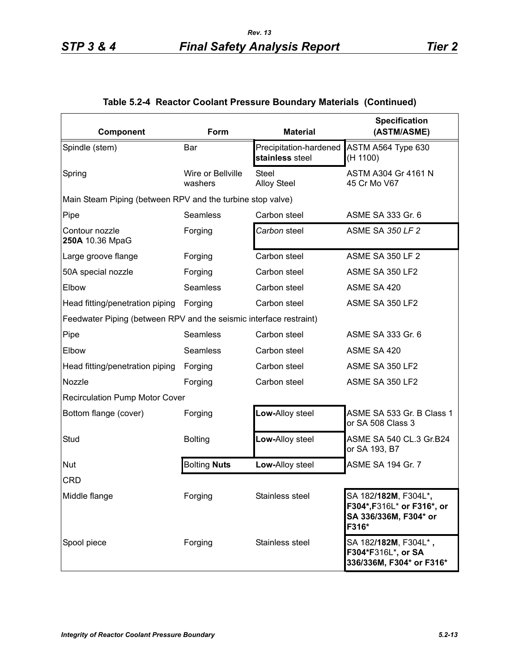| Component                                                          | Form                         | <b>Material</b>                           | <b>Specification</b><br>(ASTM/ASME)                                                  |
|--------------------------------------------------------------------|------------------------------|-------------------------------------------|--------------------------------------------------------------------------------------|
| Spindle (stem)                                                     | Bar                          | Precipitation-hardened<br>stainless steel | ASTM A564 Type 630<br>(H 1100)                                                       |
| Spring                                                             | Wire or Bellville<br>washers | <b>Steel</b><br><b>Alloy Steel</b>        | ASTM A304 Gr 4161 N<br>45 Cr Mo V67                                                  |
| Main Steam Piping (between RPV and the turbine stop valve)         |                              |                                           |                                                                                      |
| Pipe                                                               | Seamless                     | Carbon steel                              | ASME SA 333 Gr. 6                                                                    |
| Contour nozzle<br>250A 10.36 MpaG                                  | Forging                      | Carbon steel                              | <b>ASME SA 350 LF 2</b>                                                              |
| Large groove flange                                                | Forging                      | Carbon steel                              | <b>ASME SA 350 LF 2</b>                                                              |
| 50A special nozzle                                                 | Forging                      | Carbon steel                              | ASME SA 350 LF2                                                                      |
| Elbow                                                              | Seamless                     | Carbon steel                              | ASME SA 420                                                                          |
| Head fitting/penetration piping                                    | Forging                      | Carbon steel                              | ASME SA 350 LF2                                                                      |
| Feedwater Piping (between RPV and the seismic interface restraint) |                              |                                           |                                                                                      |
| Pipe                                                               | Seamless                     | Carbon steel                              | ASME SA 333 Gr. 6                                                                    |
| Elbow                                                              | Seamless                     | Carbon steel                              | ASME SA 420                                                                          |
| Head fitting/penetration piping                                    | Forging                      | Carbon steel                              | ASME SA 350 LF2                                                                      |
| Nozzle                                                             | Forging                      | Carbon steel                              | ASME SA 350 LF2                                                                      |
| <b>Recirculation Pump Motor Cover</b>                              |                              |                                           |                                                                                      |
| Bottom flange (cover)                                              | Forging                      | Low-Alloy steel                           | ASME SA 533 Gr. B Class 1<br>or SA 508 Class 3                                       |
| Stud                                                               | <b>Bolting</b>               | Low-Alloy steel                           | ASME SA 540 CL.3 Gr.B24<br>or SA 193, B7                                             |
| <b>Nut</b>                                                         | <b>Bolting Nuts</b>          | Low-Alloy steel                           | <b>ASME SA 194 Gr. 7</b>                                                             |
| <b>CRD</b>                                                         |                              |                                           |                                                                                      |
| Middle flange                                                      | Forging                      | Stainless steel                           | SA 182/182M, F304L*,<br>F304*, F316L* or F316*, or<br>SA 336/336M, F304* or<br>F316* |
| Spool piece                                                        | Forging                      | Stainless steel                           | SA 182/182M, F304L*,<br>F304*F316L*, or SA<br>336/336M, F304* or F316*               |

# **Table 5.2-4 Reactor Coolant Pressure Boundary Materials (Continued)**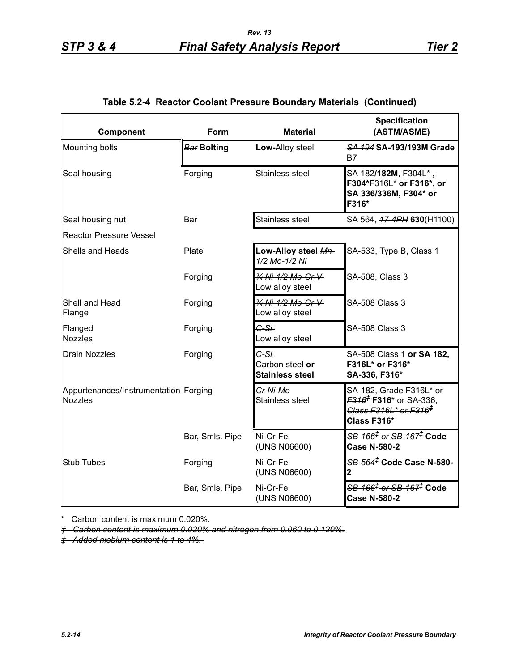| Component                                               | <b>Form</b>        | <b>Material</b>                                   | <b>Specification</b><br>(ASTM/ASME)                                                                                                   |
|---------------------------------------------------------|--------------------|---------------------------------------------------|---------------------------------------------------------------------------------------------------------------------------------------|
| Mounting bolts                                          | <b>Bar Bolting</b> | Low-Alloy steel                                   | SA 194 SA-193/193M Grade<br>B7                                                                                                        |
| Seal housing                                            | Forging            | Stainless steel                                   | SA 182/182M, F304L*,<br>F304*F316L* or F316*, or<br>SA 336/336M, F304* or<br>F316*                                                    |
| Seal housing nut                                        | Bar                | Stainless steel                                   | SA 564, 47-4PH 630(H1100)                                                                                                             |
| <b>Reactor Pressure Vessel</b>                          |                    |                                                   |                                                                                                                                       |
| Shells and Heads                                        | Plate              | Low-Alloy steel Mn-<br>1/2 Mo-1/2 Ni              | SA-533, Type B, Class 1                                                                                                               |
|                                                         | Forging            | 34 Ni-1/2 Mo-Cr-V<br>Low alloy steel              | SA-508, Class 3                                                                                                                       |
| Shell and Head<br>Flange                                | Forging            | 34 Ni-1/2 Mo-Cr-V-<br>Low alloy steel             | <b>SA-508 Class 3</b>                                                                                                                 |
| Flanged<br><b>Nozzles</b>                               | Forging            | $G-S+$<br>Low alloy steel                         | <b>SA-508 Class 3</b>                                                                                                                 |
| <b>Drain Nozzles</b>                                    | Forging            | C-Si<br>Carbon steel or<br><b>Stainless steel</b> | SA-508 Class 1 or SA 182,<br>F316L* or F316*<br>SA-336, F316*                                                                         |
| Appurtenances/Instrumentation Forging<br><b>Nozzles</b> |                    | <del>Cr-Ni-Mo</del><br>Stainless steel            | SA-182, Grade F316L* or<br><del>F316<sup>†</sup> F316*</del> or SA-336,<br><del>Class F316L* or F316<sup>‡</sup></del><br>Class F316* |
|                                                         | Bar, Smls. Pipe    | Ni-Cr-Fe<br>(UNS N06600)                          | <del>SB-166<sup>‡</sup> or SB-167<sup>≢</sup> Code</del><br><b>Case N-580-2</b>                                                       |
| <b>Stub Tubes</b>                                       | Forging            | Ni-Cr-Fe<br>(UNS N06600)                          | SB-564 <sup>#</sup> Code Case N-580-                                                                                                  |
|                                                         | Bar, Smls. Pipe    | Ni-Cr-Fe<br>(UNS N06600)                          | <del>SB-166<sup>‡</sup> or SB-167<sup>≢</sup> Code</del><br><b>Case N-580-2</b>                                                       |

### **Table 5.2-4 Reactor Coolant Pressure Boundary Materials (Continued)**

\* Carbon content is maximum 0.020%.

*† Carbon content is maximum 0.020% and nitrogen from 0.060 to 0.120%.*

*‡ Added niobium content is 1 to 4%.*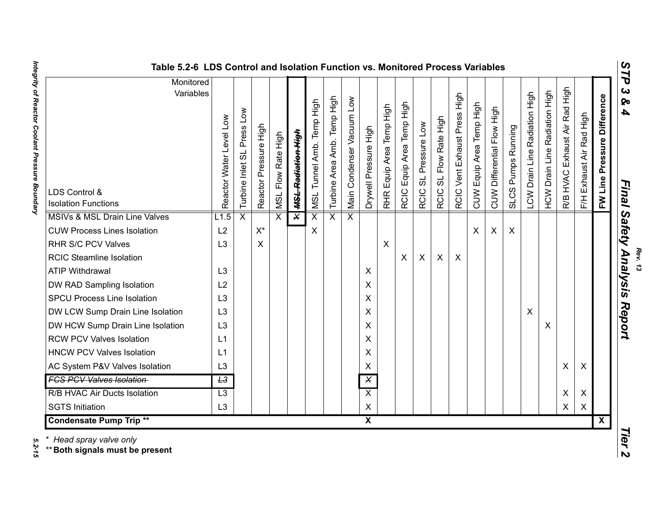| ≽ |  |  |
|---|--|--|
| 4 |  |  |
|   |  |  |
|   |  |  |
|   |  |  |
|   |  |  |
|   |  |  |
|   |  |  |

| Table 5.2-6 LDS Control and Isolation Function vs. Monitored Process Variables               |                         |                            |                           |                         |                               |                           |                                |                           |                         |                           |                                     |                          |                                  |                                 |                          |                            |                                          |                               |                               |                                  |                           |                                | <b>STP</b>                                                     |
|----------------------------------------------------------------------------------------------|-------------------------|----------------------------|---------------------------|-------------------------|-------------------------------|---------------------------|--------------------------------|---------------------------|-------------------------|---------------------------|-------------------------------------|--------------------------|----------------------------------|---------------------------------|--------------------------|----------------------------|------------------------------------------|-------------------------------|-------------------------------|----------------------------------|---------------------------|--------------------------------|----------------------------------------------------------------|
| Monitored<br>Variables<br>LDS Control &<br><b>Isolation Functions</b>                        | Reactor Water Level Low | Turbine Inlet SL Press Low | Reactor Pressure High     | Flow Rate High<br>INSL  | <del>MSL Radiation High</del> | MSL Tunnel Amb. Temp High | Amb. Temp High<br>Turbine Area | Main Condenser Vacuum Low | Drywell Pressure High   | RHR Equip Area Temp High  | Equip Area Temp High<br><b>RCIC</b> | SL Pressure Low<br>RCIC: | SL Flow Rate High<br><b>RCIC</b> | Press High<br>RCIC Vent Exhaust | CUW Equip Area Temp High | CUW Differential Flow High | Running<br>Pumps <b>F</b><br><b>SLCS</b> | LCW Drain Line Radiation High | HCW Drain Line Radiation High | Exhaust Air Rad High<br>R/B HVAC | F/H Exhaust Air Rad High  | Pressure Difference<br>FW Line | $\boldsymbol{\omega}$<br>ବ<br>$\boldsymbol{4}$<br><b>Final</b> |
| <b>MSIVs &amp; MSL Drain Line Valves</b>                                                     | L1.5                    | $\overline{\mathsf{x}}$    |                           | $\overline{\mathsf{x}}$ | $\overline{\mathsf{x}}$       | $\overline{\mathsf{x}}$   | $\overline{\mathsf{x}}$        | $\overline{X}$            |                         |                           |                                     |                          |                                  |                                 |                          |                            |                                          |                               |                               |                                  |                           |                                | Safety                                                         |
| <b>CUW Process Lines Isolation</b>                                                           | L2                      |                            | $X^*$                     |                         |                               | X                         |                                |                           |                         |                           |                                     |                          |                                  |                                 | X                        | X                          | X                                        |                               |                               |                                  |                           |                                |                                                                |
| RHR S/C PCV Valves                                                                           | L3                      |                            | $\boldsymbol{\mathsf{X}}$ |                         |                               |                           |                                |                           |                         | $\boldsymbol{\mathsf{X}}$ |                                     |                          |                                  |                                 |                          |                            |                                          |                               |                               |                                  |                           |                                |                                                                |
| <b>RCIC Steamline Isolation</b>                                                              |                         |                            |                           |                         |                               |                           |                                |                           |                         |                           | X                                   | $\sf X$                  | X                                | $\boldsymbol{\mathsf{X}}$       |                          |                            |                                          |                               |                               |                                  |                           |                                | Analysis                                                       |
| <b>ATIP Withdrawal</b>                                                                       | L3                      |                            |                           |                         |                               |                           |                                |                           | X                       |                           |                                     |                          |                                  |                                 |                          |                            |                                          |                               |                               |                                  |                           |                                |                                                                |
| DW RAD Sampling Isolation                                                                    | L2                      |                            |                           |                         |                               |                           |                                |                           | X                       |                           |                                     |                          |                                  |                                 |                          |                            |                                          |                               |                               |                                  |                           |                                |                                                                |
| <b>SPCU Process Line Isolation</b>                                                           | L <sub>3</sub>          |                            |                           |                         |                               |                           |                                |                           | X                       |                           |                                     |                          |                                  |                                 |                          |                            |                                          |                               |                               |                                  |                           |                                |                                                                |
| DW LCW Sump Drain Line Isolation                                                             | L3                      |                            |                           |                         |                               |                           |                                |                           | X                       |                           |                                     |                          |                                  |                                 |                          |                            |                                          | $\boldsymbol{\mathsf{X}}$     |                               |                                  |                           |                                | Report                                                         |
| DW HCW Sump Drain Line Isolation                                                             | L3                      |                            |                           |                         |                               |                           |                                |                           | X                       |                           |                                     |                          |                                  |                                 |                          |                            |                                          |                               | X                             |                                  |                           |                                |                                                                |
| <b>RCW PCV Valves Isolation</b>                                                              | L1                      |                            |                           |                         |                               |                           |                                |                           | X                       |                           |                                     |                          |                                  |                                 |                          |                            |                                          |                               |                               |                                  |                           |                                |                                                                |
| <b>HNCW PCV Valves Isolation</b>                                                             | L1                      |                            |                           |                         |                               |                           |                                |                           | X                       |                           |                                     |                          |                                  |                                 |                          |                            |                                          |                               |                               |                                  |                           |                                |                                                                |
| AC System P&V Valves Isolation                                                               | L <sub>3</sub>          |                            |                           |                         |                               |                           |                                |                           | X                       |                           |                                     |                          |                                  |                                 |                          |                            |                                          |                               |                               | X                                | X                         |                                |                                                                |
| <b>FCS PCV Valves Isolation</b>                                                              | L3                      |                            |                           |                         |                               |                           |                                |                           | $\mathsf{X}$            |                           |                                     |                          |                                  |                                 |                          |                            |                                          |                               |                               |                                  |                           |                                |                                                                |
| R/B HVAC Air Ducts Isolation                                                                 | L3                      |                            |                           |                         |                               |                           |                                |                           | $\overline{\mathsf{x}}$ |                           |                                     |                          |                                  |                                 |                          |                            |                                          |                               |                               | X                                | $\boldsymbol{\mathsf{X}}$ |                                |                                                                |
| <b>SGTS Initiation</b>                                                                       | L <sub>3</sub>          |                            |                           |                         |                               |                           |                                |                           | X                       |                           |                                     |                          |                                  |                                 |                          |                            |                                          |                               |                               | X                                | X                         |                                |                                                                |
|                                                                                              |                         |                            |                           |                         |                               |                           |                                |                           | $\overline{\mathbf{x}}$ |                           |                                     |                          |                                  |                                 |                          |                            |                                          |                               |                               |                                  |                           | $\overline{\mathbf{X}}$        |                                                                |
| <b>Condensate Pump Trip **</b><br>* Head spray valve only<br>** Both signals must be present |                         |                            |                           |                         |                               |                           |                                |                           |                         |                           |                                     |                          |                                  |                                 |                          |                            |                                          |                               |                               |                                  |                           |                                | Tier<br>$\mathbf{v}$                                           |

Integrity of Reactor Coolant Pressure Boundary *Integrity of Reactor Coolant Pressure Boundary 5.2-15*

5.2-15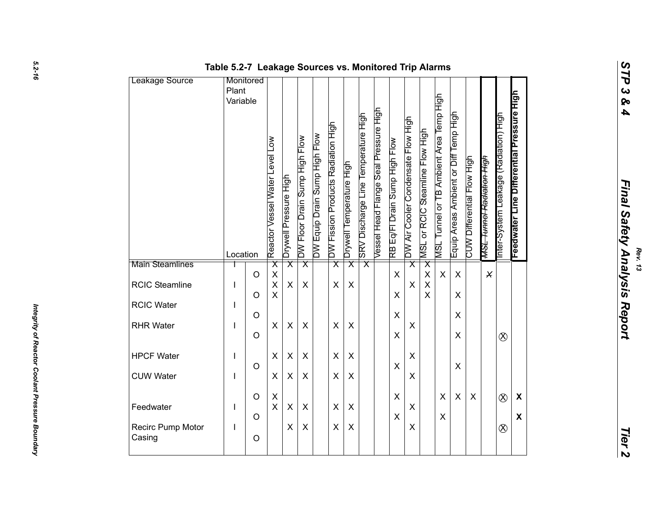| inal Safety<br><b>Analysis</b><br>Repo | Rev. 13 |
|----------------------------------------|---------|

|                             | Table 5.2-7 Leakage Sources vs. Monitored Trip Alarms |                    |                                                |                         |                               |                               |                                    |                           |                                     |                                       |                                             |                                    |                                                     |                                         |                                       |                            |                                      |                                       |                                           |                                           |
|-----------------------------|-------------------------------------------------------|--------------------|------------------------------------------------|-------------------------|-------------------------------|-------------------------------|------------------------------------|---------------------------|-------------------------------------|---------------------------------------|---------------------------------------------|------------------------------------|-----------------------------------------------------|-----------------------------------------|---------------------------------------|----------------------------|--------------------------------------|---------------------------------------|-------------------------------------------|-------------------------------------------|
| Leakage Source              | Monitored<br>Plant<br>Variable<br>Location            |                    | $\sum_{i=1}^{n}$<br>Reactor Vessel Water Level | Drywell Pressure High   | DW Floor Drain Sump High Flow | DW Equip Drain Sump High Flow | DW Fission Products Radiation High | Drywell Temperature High  | SRV Discharge Line Temperature High | Vessel Head Flange Seal Pressure High | RB Eq/FI Drain Sump High Flow               | DW Air Cooler Condensate Flow High | MSL or RCIC Steamline Flow High                     | MSL Tunnel or TB Ambient Area Temp High | Equip Areas Ambient or Diff Temp High | CUW Differential Flow High | <del>MSL Tunnel Radiation High</del> | Inter-System Leakage (Radiation) High | Feedwater Line Differential Pressure High | STP 3 & 4<br>Final Safety Analysis Report |
| <b>Main Steamlines</b>      |                                                       |                    | $\overline{\mathsf{x}}$                        | $\overline{\mathsf{x}}$ | $\overline{\mathsf{x}}$       |                               | $\overline{\mathsf{x}}$            | $\overline{\mathsf{x}}$   | $\overline{\mathsf{x}}$             |                                       |                                             | $\overline{\mathsf{x}}$            | $\overline{\mathsf{x}}$                             |                                         |                                       |                            |                                      |                                       |                                           |                                           |
| <b>RCIC Steamline</b>       |                                                       | $\circ$<br>$\circ$ | X<br>$\overline{\mathsf{X}}$<br>$\times$       | X                       | $\mathsf{X}$                  |                               | $\pmb{\times}$                     | $\boldsymbol{\mathsf{X}}$ |                                     |                                       | $\boldsymbol{\mathsf{X}}$<br>$\pmb{\times}$ | X                                  | $\mathsf X$<br>$\sf X$<br>$\boldsymbol{\mathsf{X}}$ | $\boldsymbol{\mathsf{X}}$               | X<br>X                                |                            | $\pmb{\times}$                       |                                       |                                           |                                           |
| <b>RCIC Water</b>           | <sup>1</sup>                                          |                    |                                                |                         |                               |                               |                                    |                           |                                     |                                       |                                             |                                    |                                                     |                                         |                                       |                            |                                      |                                       |                                           |                                           |
| <b>RHR Water</b>            | $\overline{\phantom{a}}$                              | $\circ$            | X                                              | X                       | X                             |                               | X                                  | $\boldsymbol{\mathsf{X}}$ |                                     |                                       | $\mathsf X$                                 | X                                  |                                                     |                                         | X                                     |                            |                                      |                                       |                                           |                                           |
|                             |                                                       | $\circ$            |                                                |                         |                               |                               |                                    |                           |                                     |                                       | $\pmb{\times}$                              |                                    |                                                     |                                         | X                                     |                            |                                      | $\otimes$                             |                                           |                                           |
| <b>HPCF Water</b>           | H                                                     |                    | X                                              | $\pmb{\times}$          | $\pmb{\times}$                |                               | X                                  | X                         |                                     |                                       |                                             | X                                  |                                                     |                                         |                                       |                            |                                      |                                       |                                           |                                           |
| <b>CUW Water</b>            |                                                       | $\circ$            | $\pmb{\times}$                                 | X                       | X                             |                               | X                                  | X                         |                                     |                                       | $\boldsymbol{\mathsf{X}}$                   | X                                  |                                                     |                                         | X                                     |                            |                                      |                                       |                                           |                                           |
|                             |                                                       | $\circ$            |                                                |                         |                               |                               |                                    |                           |                                     |                                       | $\boldsymbol{\mathsf{X}}$                   |                                    |                                                     | $\pmb{\times}$                          | $\mathsf{X}$                          | $\boldsymbol{\mathsf{X}}$  |                                      |                                       |                                           |                                           |
| Feedwater                   | $\overline{\phantom{a}}$                              |                    | X<br>$\sf X$                                   | X                       | X                             |                               | $\pmb{\times}$                     | X                         |                                     |                                       |                                             | X                                  |                                                     |                                         |                                       |                            |                                      | $\otimes$                             | $\boldsymbol{\mathsf{X}}$                 |                                           |
| Recirc Pump Motor<br>Casing | $\mathbf{I}$                                          | $\circ$<br>$\circ$ |                                                | X                       | X                             |                               | X                                  | $\boldsymbol{\mathsf{X}}$ |                                     |                                       | $\pmb{\times}$                              | X                                  |                                                     | $\pmb{\times}$                          |                                       |                            |                                      | $\otimes$                             | $\boldsymbol{\mathsf{X}}$                 | <b>Tier 2</b>                             |
|                             |                                                       |                    |                                                |                         |                               |                               |                                    |                           |                                     |                                       |                                             |                                    |                                                     |                                         |                                       |                            |                                      |                                       |                                           |                                           |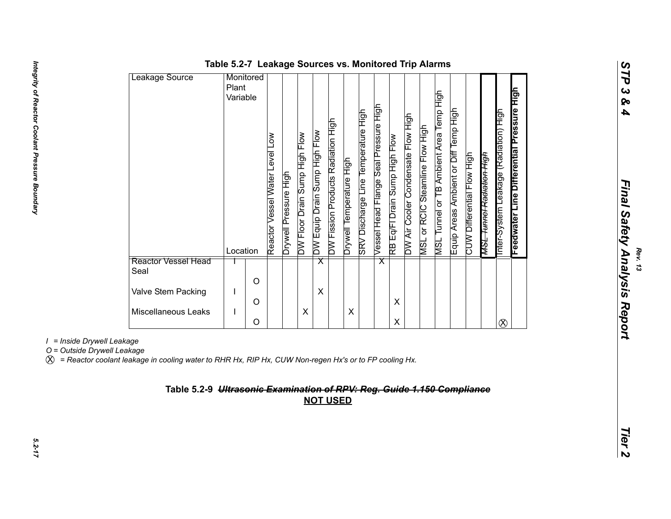| Feedwater Line Differential Pressure High<br>MSL Tunnel or TB Ambient Area Temp High<br>Vessel Head Flange Seal Pressure High<br>SRV Discharge Line Temperature High<br>Inter-System Leakage (Radiation) High<br>DW Air Cooler Condensate Flow High<br>DW Fission Products Radiation High<br>MSL or RCIC Steamline Flow High<br>Equip Areas Ambient or Diff Temp<br>DW Equip Drain Sump High Flow<br>DW Floor Drain Sump High Flow<br>RB Eq/Fl Drain Sump High Flow<br>CUW Differential Flow High<br>Drywell Temperature High<br>Drywell Pressure High<br>Reactor<br><u>_R9M</u><br>Location<br>$\overline{\mathsf{x}}$<br>$\overline{\mathsf{x}}$<br><b>Reactor Vessel Head</b><br>Seal<br>$\circ$<br>Valve Stem Packing<br>X<br>X<br>$\circ$<br>Miscellaneous Leaks<br>X<br>X<br>$\boldsymbol{\mathsf{X}}$<br>$\circ$<br>$\otimes$ |
|--------------------------------------------------------------------------------------------------------------------------------------------------------------------------------------------------------------------------------------------------------------------------------------------------------------------------------------------------------------------------------------------------------------------------------------------------------------------------------------------------------------------------------------------------------------------------------------------------------------------------------------------------------------------------------------------------------------------------------------------------------------------------------------------------------------------------------------|
|                                                                                                                                                                                                                                                                                                                                                                                                                                                                                                                                                                                                                                                                                                                                                                                                                                      |
|                                                                                                                                                                                                                                                                                                                                                                                                                                                                                                                                                                                                                                                                                                                                                                                                                                      |

*Rev. 13*